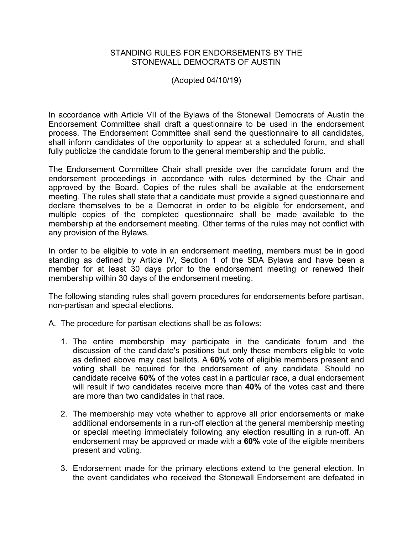## STANDING RULES FOR ENDORSEMENTS BY THE STONEWALL DEMOCRATS OF AUSTIN

(Adopted 04/10/19)

In accordance with Article VII of the Bylaws of the Stonewall Democrats of Austin the Endorsement Committee shall draft a questionnaire to be used in the endorsement process. The Endorsement Committee shall send the questionnaire to all candidates, shall inform candidates of the opportunity to appear at a scheduled forum, and shall fully publicize the candidate forum to the general membership and the public.

The Endorsement Committee Chair shall preside over the candidate forum and the endorsement proceedings in accordance with rules determined by the Chair and approved by the Board. Copies of the rules shall be available at the endorsement meeting. The rules shall state that a candidate must provide a signed questionnaire and declare themselves to be a Democrat in order to be eligible for endorsement, and multiple copies of the completed questionnaire shall be made available to the membership at the endorsement meeting. Other terms of the rules may not conflict with any provision of the Bylaws.

In order to be eligible to vote in an endorsement meeting, members must be in good standing as defined by Article IV, Section 1 of the SDA Bylaws and have been a member for at least 30 days prior to the endorsement meeting or renewed their membership within 30 days of the endorsement meeting.

The following standing rules shall govern procedures for endorsements before partisan, non-partisan and special elections.

- A. The procedure for partisan elections shall be as follows:
	- 1. The entire membership may participate in the candidate forum and the discussion of the candidate's positions but only those members eligible to vote as defined above may cast ballots. A **60%** vote of eligible members present and voting shall be required for the endorsement of any candidate. Should no candidate receive **60%** of the votes cast in a particular race, a dual endorsement will result if two candidates receive more than **40%** of the votes cast and there are more than two candidates in that race.
	- 2. The membership may vote whether to approve all prior endorsements or make additional endorsements in a run-off election at the general membership meeting or special meeting immediately following any election resulting in a run-off. An endorsement may be approved or made with a **60%** vote of the eligible members present and voting.
	- 3. Endorsement made for the primary elections extend to the general election. In the event candidates who received the Stonewall Endorsement are defeated in